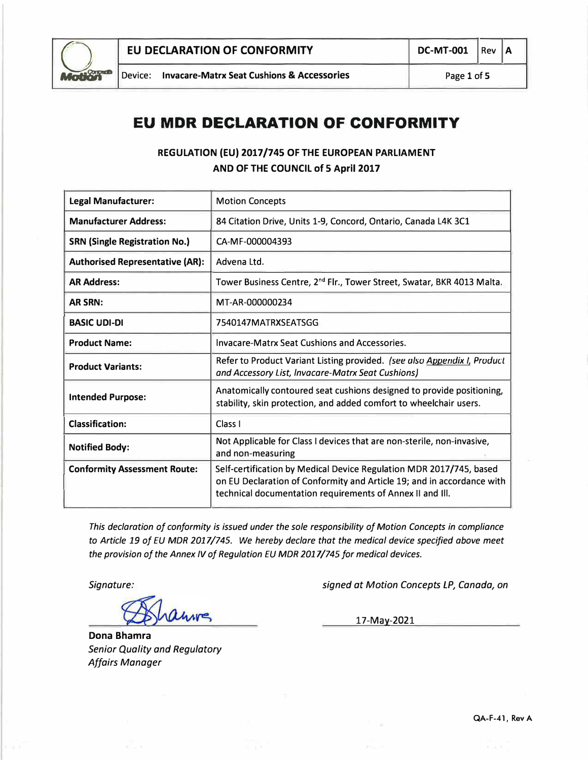

## **EU MDR DECLARATION OF CONFORMITY**

## **REGULATION (EU) 2017/745 OF THE EUROPEAN PARLIAMENT AND OF THE COUNCIL of 5 April 2017**

| <b>Legal Manufacturer:</b>             | <b>Motion Concepts</b>                                                                                                                                                                                     |  |  |  |  |
|----------------------------------------|------------------------------------------------------------------------------------------------------------------------------------------------------------------------------------------------------------|--|--|--|--|
| <b>Manufacturer Address:</b>           | 84 Citation Drive, Units 1-9, Concord, Ontario, Canada L4K 3C1                                                                                                                                             |  |  |  |  |
| <b>SRN (Single Registration No.)</b>   | CA-MF-000004393                                                                                                                                                                                            |  |  |  |  |
| <b>Authorised Representative (AR):</b> | Advena Ltd.                                                                                                                                                                                                |  |  |  |  |
| <b>AR Address:</b>                     | Tower Business Centre, 2 <sup>nd</sup> Flr., Tower Street, Swatar, BKR 4013 Malta.                                                                                                                         |  |  |  |  |
| <b>AR SRN:</b>                         | MT-AR-000000234                                                                                                                                                                                            |  |  |  |  |
| <b>BASIC UDI-DI</b>                    | 7540147MATRXSEATSGG                                                                                                                                                                                        |  |  |  |  |
| <b>Product Name:</b>                   | Invacare-Matrx Seat Cushions and Accessories.                                                                                                                                                              |  |  |  |  |
| <b>Product Variants:</b>               | Refer to Product Variant Listing provided. (see also Appendix I, Product<br>and Accessory List, Invacare-Matrx Seat Cushions)                                                                              |  |  |  |  |
| <b>Intended Purpose:</b>               | Anatomically contoured seat cushions designed to provide positioning,<br>stability, skin protection, and added comfort to wheelchair users.                                                                |  |  |  |  |
| <b>Classification:</b>                 | Class <sub>1</sub>                                                                                                                                                                                         |  |  |  |  |
| <b>Notified Body:</b>                  | Not Applicable for Class I devices that are non-sterile, non-invasive,<br>and non-measuring                                                                                                                |  |  |  |  |
| <b>Conformity Assessment Route:</b>    | Self-certification by Medical Device Regulation MDR 2017/745, based<br>on EU Declaration of Conformity and Article 19; and in accordance with<br>technical documentation requirements of Annex II and III. |  |  |  |  |

*This declaration of conformity is issued under the sole responsibility of Motion Concepts in compliance*  to Article 19 of EU MDR 2017/745. We hereby declare that the medical device specified above meet the provision of the Annex IV of Regulation EU MDR 2017/745 for medical devices.

*Signature:* 

LIVING

**Dona Bhamra**  *Senior Quality and Regulatory Affairs Manager* 

*signed at Motion Concepts LP, Canada, on* 

17-May-2021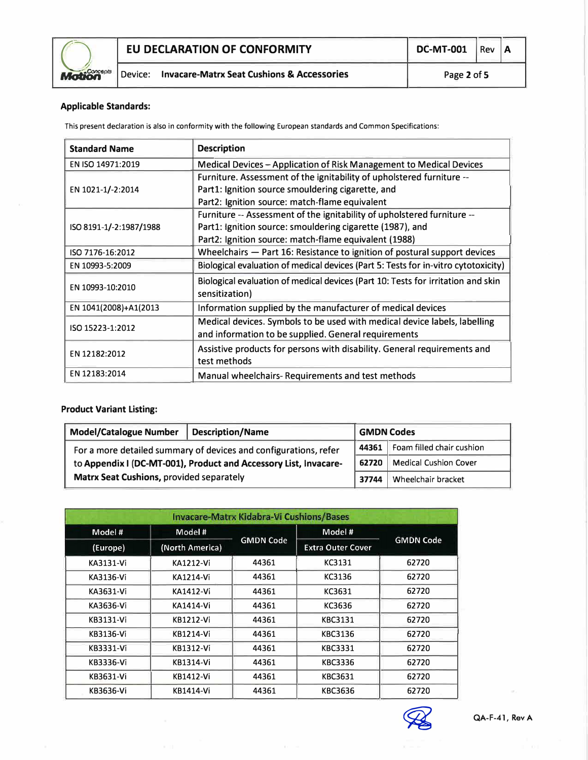

## **Applicable Standards:**

This present declaration is also in conformity with the following European standards and Common Specifications:

| <b>Standard Name</b>    | <b>Description</b>                                                                 |
|-------------------------|------------------------------------------------------------------------------------|
| EN ISO 14971:2019       | Medical Devices - Application of Risk Management to Medical Devices                |
|                         | Furniture. Assessment of the ignitability of upholstered furniture --              |
| EN 1021-1/-2:2014       | Part1: Ignition source smouldering cigarette, and                                  |
|                         | Part2: Ignition source: match-flame equivalent                                     |
|                         | Furniture -- Assessment of the ignitability of upholstered furniture --            |
| ISO 8191-1/-2:1987/1988 | Part1: Ignition source: smouldering cigarette (1987), and                          |
|                         | Part2: Ignition source: match-flame equivalent (1988)                              |
| ISO 7176-16:2012        | Wheelchairs $-$ Part 16: Resistance to ignition of postural support devices        |
| EN 10993-5:2009         | Biological evaluation of medical devices (Part 5: Tests for in-vitro cytotoxicity) |
| EN 10993-10:2010        | Biological evaluation of medical devices (Part 10: Tests for irritation and skin   |
|                         | sensitization)                                                                     |
| EN 1041(2008)+A1(2013   | Information supplied by the manufacturer of medical devices                        |
| ISO 15223-1:2012        | Medical devices. Symbols to be used with medical device labels, labelling          |
|                         | and information to be supplied. General requirements                               |
| EN 12182:2012           | Assistive products for persons with disability. General requirements and           |
|                         | test methods                                                                       |
| EN 12183:2014           | Manual wheelchairs-Requirements and test methods                                   |

### **Product Variant Listing:**

| <b>Model/Catalogue Number</b><br>Description/Name                | <b>GMDN Codes</b> |                                 |                                |
|------------------------------------------------------------------|-------------------|---------------------------------|--------------------------------|
| For a more detailed summary of devices and configurations, refer |                   | 44361 Foam filled chair cushion |                                |
| to Appendix I (DC-MT-001), Product and Accessory List, Invacare- |                   |                                 | Medical Cushion Cover<br>62720 |
| <b>Matrx Seat Cushions, provided separately</b>                  |                   |                                 | Wheelchair bracket             |

| <b>Invacare-Matrx Kidabra-Vi Cushions/Bases</b> |                  |                  |                          |                  |  |  |  |
|-------------------------------------------------|------------------|------------------|--------------------------|------------------|--|--|--|
| Model #                                         | Model #          |                  | Model #                  |                  |  |  |  |
| (Europe)                                        | (North America)  | <b>GMDN Code</b> | <b>Extra Outer Cover</b> | <b>GMDN Code</b> |  |  |  |
| KA3131-Vi                                       | KA1212-Vi        | 44361            | KC3131                   | 62720            |  |  |  |
| KA3136-Vi                                       | KA1214-Vi        | 44361            | KC3136                   | 62720            |  |  |  |
| KA3631-Vi                                       | KA1412-Vi        | 44361            | KC3631                   | 62720            |  |  |  |
| KA3636-Vi                                       | KA1414-Vi        | 44361            | KC3636                   | 62720            |  |  |  |
| KB3131-Vi                                       | <b>KB1212-Vi</b> | 44361            | <b>KBC3131</b>           | 62720            |  |  |  |
| KB3136-Vi                                       | <b>KB1214-Vi</b> | 44361            | KBC3136                  | 62720            |  |  |  |
| KB3331-Vi                                       | <b>KB1312-Vi</b> | 44361            | KBC3331                  | 62720            |  |  |  |
| KB3336-Vi                                       | KB1314-Vi        | 44361            | KBC3336                  | 62720            |  |  |  |
| KB3631-Vi                                       | KB1412-Vi        | 44361            | KBC3631                  | 62720            |  |  |  |
| KB3636-Vi                                       | KB1414-Vi        | 44361            | KBC3636                  | 62720            |  |  |  |

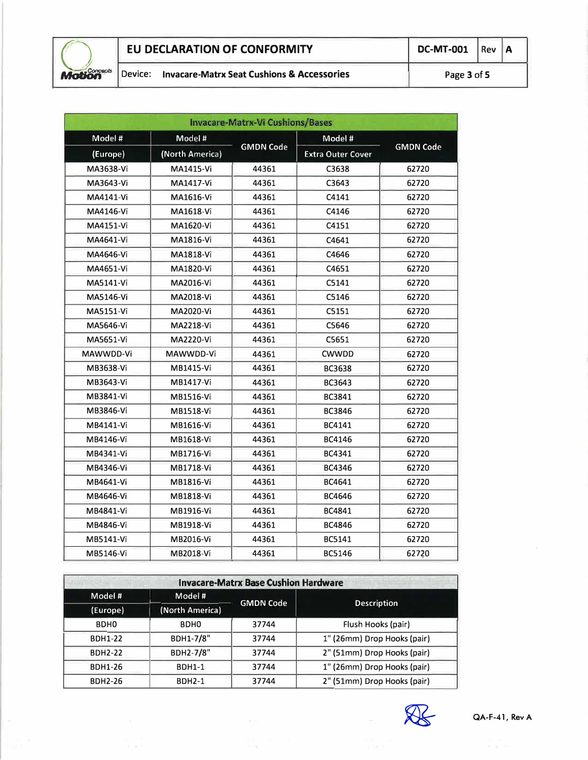

|           | <b>Invacare-Matrx-Vi Cushions/Bases</b> |                  |                          |                  |  |  |  |
|-----------|-----------------------------------------|------------------|--------------------------|------------------|--|--|--|
| Model #   | Model #                                 |                  | Model #                  |                  |  |  |  |
| (Europe)  | (North America)                         | <b>GMDN Code</b> | <b>Extra Outer Cover</b> | <b>GMDN Code</b> |  |  |  |
| MA3638-Vi | <b>MA1415-Vi</b>                        | 44361            | C3638                    | 62720            |  |  |  |
| MA3643-Vi | <b>MA1417-Vi</b>                        | 44361            | C3643                    | 62720            |  |  |  |
| MA4141-Vi | MA1616-Vi                               | 44361            | C4141                    | 62720            |  |  |  |
| MA4146-Vi | MA1618-Vi                               | 44361            | C4146                    | 62720            |  |  |  |
| MA4151-Vi | MA1620-Vi                               | 44361            | C4151                    | 62720            |  |  |  |
| MA4641-Vi | MA1816-Vi                               | 44361            | C4641                    | 62720            |  |  |  |
| MA4646-Vi | MA1818-Vi                               | 44361            | C4646                    | 62720            |  |  |  |
| MA4651-Vi | MA1820-Vi                               | 44361            | C4651                    | 62720            |  |  |  |
| MA5141-Vi | MA2016-Vi                               | 44361            | C5141                    | 62720            |  |  |  |
| MA5146-Vi | MA2018-Vi                               | 44361            | C5146                    | 62720            |  |  |  |
| MA5151-Vi | MA2020-Vi                               | 44361            | C5151                    | 62720            |  |  |  |
| MA5646-Vi | MA2218-Vi                               | 44361            | C5646                    | 62720            |  |  |  |
| MA5651-Vi | MA2220-Vi                               | 44361            | C5651                    | 62720            |  |  |  |
| MAWWDD-Vi | MAWWDD-Vi                               | 44361            | CWWDD                    | 62720            |  |  |  |
| MB3638-Vi | MB1415-Vi                               | 44361            | <b>BC3638</b>            | 62720            |  |  |  |
| MB3643-Vi | MB1417-Vi                               | 44361            | BC3643                   | 62720            |  |  |  |
| MB3841-Vi | MB1516-Vi                               | 44361            | BC3841                   | 62720            |  |  |  |
| MB3846-Vi | MB1518-Vi                               | 44361            | BC3846                   | 62720            |  |  |  |
| MB4141-Vi | MB1616-Vi                               | 44361            | BC4141                   | 62720            |  |  |  |
| MB4146-Vi | MB1618-Vi                               | 44361            | BC4146                   | 62720            |  |  |  |
| MB4341-Vi | MB1716-Vi                               | 44361            | BC4341                   | 62720            |  |  |  |
| MB4346-Vi | MB1718-Vi                               | 44361            | BC4346                   | 62720            |  |  |  |
| MB4641-Vi | MB1816-Vi                               | 44361            | BC4641                   | 62720            |  |  |  |
| MB4646-Vi | MB1818-Vi                               | 44361            | BC4646                   | 62720            |  |  |  |
| MB4841-Vi | MB1916-Vi                               | 44361            | BC4841                   | 62720            |  |  |  |
| MB4846-Vi | MB1918-Vi                               | 44361            | BC4846                   | 62720            |  |  |  |
| MB5141-Vi | MB2016-Vi                               | 44361            | BC5141                   | 62720            |  |  |  |
| MB5146-Vi | MB2018-Vi                               | 44361            | BC5146                   | 62720            |  |  |  |

| <b>Invacare-Matrx Base Cushion Hardware</b> |                  |                                      |                             |  |  |  |  |
|---------------------------------------------|------------------|--------------------------------------|-----------------------------|--|--|--|--|
| Model #                                     | Model #          |                                      |                             |  |  |  |  |
| (Europe)                                    | (North America)  | <b>GMDN Code</b>                     | <b>Description</b>          |  |  |  |  |
| BDH <sub>0</sub>                            | BDH <sub>0</sub> | 37744                                | Flush Hooks (pair)          |  |  |  |  |
| <b>BDH1-22</b>                              | BDH1-7/8"        | 1" (26mm) Drop Hooks (pair)<br>37744 |                             |  |  |  |  |
| <b>BDH2-22</b>                              | BDH2-7/8"        | 37744                                | 2" (51mm) Drop Hooks (pair) |  |  |  |  |
| <b>BDH1-26</b>                              | <b>BDH1-1</b>    | 37744                                | 1" (26mm) Drop Hooks (pair) |  |  |  |  |
| <b>BDH2-26</b>                              | <b>BDH2-1</b>    | 37744                                | 2" (51mm) Drop Hooks (pair) |  |  |  |  |

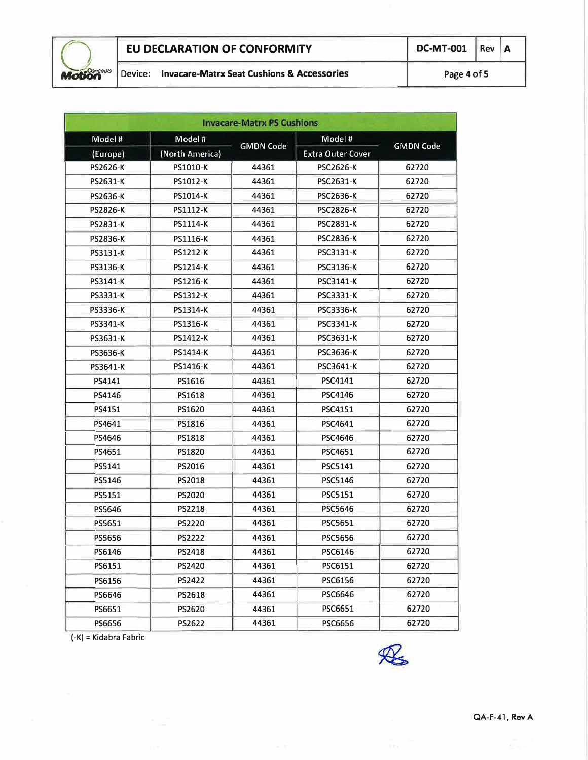

# **EU DECLARATION OF CONFORMITY** DC-MT-001 Rev **A**<br>
Device: **lnvacare-Matrx Seat Cushions & Accessories** Page 4 of 5

| <b>Invacare-Matrx PS Cushions</b> |                 |                  |                          |                  |  |  |  |
|-----------------------------------|-----------------|------------------|--------------------------|------------------|--|--|--|
| Model#                            | Model #         |                  | Model #                  |                  |  |  |  |
| (Europe)                          | (North America) | <b>GMDN Code</b> | <b>Extra Outer Cover</b> | <b>GMDN Code</b> |  |  |  |
| <b>PS2626-K</b>                   | PS1010-K        | 44361            | <b>PSC2626-K</b>         | 62720            |  |  |  |
| PS2631-K                          | PS1012-K        | 44361            | <b>PSC2631-K</b>         | 62720            |  |  |  |
| <b>PS2636-K</b>                   | PS1014-K        | 44361            | <b>PSC2636-K</b>         | 62720            |  |  |  |
| <b>PS2826-K</b>                   | PS1112-K        | 44361            | <b>PSC2826-K</b>         | 62720            |  |  |  |
| <b>PS2831-K</b>                   | PS1114-K        | 44361            | <b>PSC2831-K</b>         | 62720            |  |  |  |
| <b>PS2836-K</b>                   | <b>PS1116-K</b> | 44361            | <b>PSC2836-K</b>         | 62720            |  |  |  |
| PS3131-K                          | <b>PS1212-K</b> | 44361            | <b>PSC3131-K</b>         | 62720            |  |  |  |
| PS3136-K                          | <b>PS1214-K</b> | 44361            | <b>PSC3136-K</b>         | 62720            |  |  |  |
| PS3141-K                          | <b>PS1216-K</b> | 44361            | <b>PSC3141-K</b>         | 62720            |  |  |  |
| PS3331-K                          | <b>PS1312-K</b> | 44361            | <b>PSC3331-K</b>         | 62720            |  |  |  |
| PS3336-K                          | <b>PS1314-K</b> | 44361            | <b>PSC3336-K</b>         | 62720            |  |  |  |
| PS3341-K                          | PS1316-K        | 44361            | <b>PSC3341-K</b>         | 62720            |  |  |  |
| PS3631-K                          | <b>PS1412-K</b> | 44361            | <b>PSC3631-K</b>         | 62720            |  |  |  |
| PS3636-K                          | <b>PS1414-K</b> | 44361            | <b>PSC3636-K</b>         | 62720            |  |  |  |
| <b>PS3641-K</b>                   | PS1416-K        | 44361            | PSC3641-K                | 62720            |  |  |  |
| PS4141                            | PS1616          | 44361            | PSC4141                  | 62720            |  |  |  |
| PS4146                            | PS1618          | 44361            | <b>PSC4146</b>           | 62720            |  |  |  |
| PS4151                            | PS1620          | 44361            | <b>PSC4151</b>           | 62720            |  |  |  |
| PS4641                            | PS1816          | 44361            | PSC4641                  | 62720            |  |  |  |
| PS4646                            | PS1818          | 44361            | <b>PSC4646</b>           | 62720            |  |  |  |
| PS4651                            | PS1820          | 44361            | PSC4651                  | 62720            |  |  |  |
| PS5141                            | PS2016          | 44361            | PSC5141                  | 62720            |  |  |  |
| PS5146                            | PS2018          | 44361            | <b>PSC5146</b>           | 62720            |  |  |  |
| PS5151                            | <b>PS2020</b>   | 44361            | PSC5151                  | 62720            |  |  |  |
| PS5646                            | <b>PS2218</b>   | 44361            | <b>PSC5646</b>           | 62720            |  |  |  |
| PS5651                            | <b>PS2220</b>   | 44361            | <b>PSC5651</b>           | 62720            |  |  |  |
| <b>PS5656</b>                     | <b>PS2222</b>   | 44361            | PSC5656                  | 62720            |  |  |  |
| PS6146                            | PS2418          | 44361            | PSC6146                  | 62720            |  |  |  |
| PS6151                            | <b>PS2420</b>   | 44361            | PSC6151                  | 62720            |  |  |  |
| PS6156                            | <b>PS2422</b>   | 44361            | PSC6156                  | 62720            |  |  |  |
| PS6646                            | PS2618          | 44361            | PSC6646                  | 62720            |  |  |  |
| PS6651                            | PS2620          | 44361            | PSC6651                  | 62720            |  |  |  |
| PS6656                            | PS2622          | 44361            | <b>PSC6656</b>           | 62720            |  |  |  |

(-K) = Kidabra Fabric

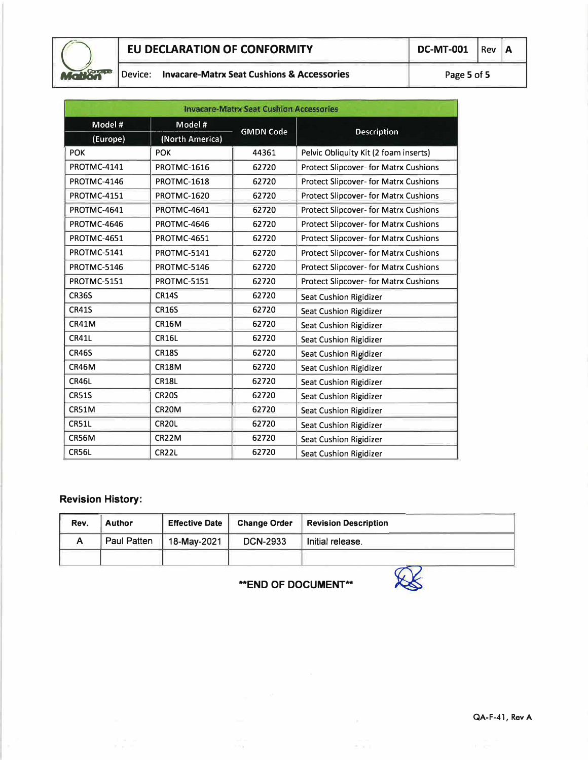

## Device: **Invacare-Matrx Seat Cushions & Accessories Page 5 of 5**

| <b>Invacare-Matrx Seat Cushion Accessories</b> |                    |                  |                                              |  |  |  |
|------------------------------------------------|--------------------|------------------|----------------------------------------------|--|--|--|
| Model #                                        | Model #            |                  |                                              |  |  |  |
| (Europe)                                       | (North America)    | <b>GMDN Code</b> | <b>Description</b>                           |  |  |  |
| <b>POK</b>                                     | <b>POK</b>         | 44361            | Pelvic Obliquity Kit (2 foam inserts)        |  |  |  |
| PROTMC-4141                                    | PROTMC-1616        | 62720            | Protect Slipcover- for Matrx Cushions        |  |  |  |
| PROTMC-4146                                    | PROTMC-1618        | 62720            | Protect Slipcover- for Matrx Cushions        |  |  |  |
| PROTMC-4151                                    | <b>PROTMC-1620</b> | 62720            | <b>Protect Slipcover- for Matrx Cushions</b> |  |  |  |
| PROTMC-4641                                    | PROTMC-4641        | 62720            | Protect Slipcover- for Matrx Cushions        |  |  |  |
| PROTMC-4646                                    | PROTMC-4646        | 62720            | Protect Slipcover- for Matrx Cushions        |  |  |  |
| PROTMC-4651                                    | PROTMC-4651        | 62720            | Protect Slipcover- for Matrx Cushions        |  |  |  |
| PROTMC-5141                                    | PROTMC-5141        | 62720            | Protect Slipcover- for Matrx Cushions        |  |  |  |
| PROTMC-5146                                    | PROTMC-5146        | 62720            | Protect Slipcover- for Matrx Cushions        |  |  |  |
| PROTMC-5151                                    | PROTMC-5151        | 62720            | Protect Slipcover- for Matrx Cushions        |  |  |  |
| <b>CR36S</b>                                   | <b>CR14S</b>       | 62720            | Seat Cushion Rigidizer                       |  |  |  |
| <b>CR41S</b>                                   | <b>CR16S</b>       | 62720            | Seat Cushion Rigidizer                       |  |  |  |
| CR41M                                          | <b>CR16M</b>       | 62720            | Seat Cushion Rigidizer                       |  |  |  |
| CR41L                                          | <b>CR16L</b>       | 62720            | Seat Cushion Rigidizer                       |  |  |  |
| <b>CR46S</b>                                   | <b>CR18S</b>       | 62720            | Seat Cushion Rigidizer                       |  |  |  |
| CR46M                                          | CR18M              | 62720            | Seat Cushion Rigidizer                       |  |  |  |
| CR46L                                          | <b>CR18L</b>       | 62720            | Seat Cushion Rigidizer                       |  |  |  |
| <b>CR51S</b>                                   | <b>CR20S</b>       | 62720            | Seat Cushion Rigidizer                       |  |  |  |
| CR51M                                          | CR20M              | 62720            | Seat Cushion Rigidizer                       |  |  |  |
| <b>CR51L</b>                                   | CR <sub>20</sub> L | 62720            | Seat Cushion Rigidizer                       |  |  |  |
| CR56M                                          | CR22M              | 62720            | Seat Cushion Rigidizer                       |  |  |  |
| CR56L                                          | CR22L              | 62720            | Seat Cushion Rigidizer                       |  |  |  |

## **Revision History:**

| Rev. | <b>Author</b> | <b>Effective Date</b> | <b>Change Order</b> | <b>Revision Description</b> |
|------|---------------|-----------------------|---------------------|-----------------------------|
| A    | Paul Patten   | 18-May-2021           | <b>DCN-2933</b>     | Initial release.            |
|      |               |                       |                     |                             |

**"""END OF DOCUMENT"""** �

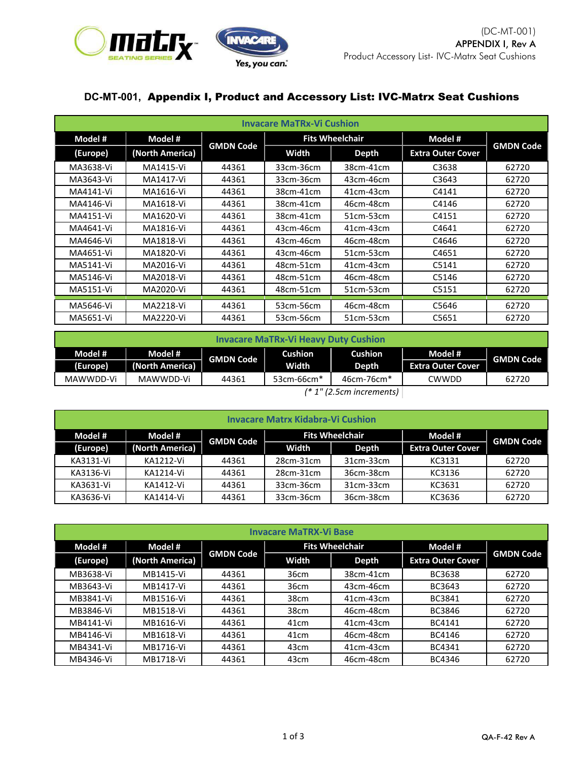

## **DC-MT-001,** Appendix I, Product and Accessory List: IVC-Matrx Seat Cushions

| <b>Invacare MaTRx-Vi Cushion</b> |                 |                  |           |                        |                          |                  |
|----------------------------------|-----------------|------------------|-----------|------------------------|--------------------------|------------------|
| Model #                          | Model #         |                  |           | <b>Fits Wheelchair</b> | Model #                  |                  |
| (Europe)                         | (North America) | <b>GMDN Code</b> | Width     | <b>Depth</b>           | <b>Extra Outer Cover</b> | <b>GMDN Code</b> |
| MA3638-Vi                        | MA1415-Vi       | 44361            | 33cm-36cm | 38cm-41cm              | C3638                    | 62720            |
| MA3643-Vi                        | MA1417-Vi       | 44361            | 33cm-36cm | 43cm-46cm              | C3643                    | 62720            |
| MA4141-Vi                        | MA1616-Vi       | 44361            | 38cm-41cm | 41cm-43cm              | C4141                    | 62720            |
| MA4146-Vi                        | MA1618-Vi       | 44361            | 38cm-41cm | 46cm-48cm              | C4146                    | 62720            |
| MA4151-Vi                        | MA1620-Vi       | 44361            | 38cm-41cm | 51cm-53cm              | C4151                    | 62720            |
| MA4641-Vi                        | MA1816-Vi       | 44361            | 43cm-46cm | 41cm-43cm              | C4641                    | 62720            |
| MA4646-Vi                        | MA1818-Vi       | 44361            | 43cm-46cm | 46cm-48cm              | C4646                    | 62720            |
| MA4651-Vi                        | MA1820-Vi       | 44361            | 43cm-46cm | 51cm-53cm              | C4651                    | 62720            |
| MA5141-Vi                        | MA2016-Vi       | 44361            | 48cm-51cm | 41cm-43cm              | C5141                    | 62720            |
| MA5146-Vi                        | MA2018-Vi       | 44361            | 48cm-51cm | 46cm-48cm              | C5146                    | 62720            |
| MA5151-Vi                        | MA2020-Vi       | 44361            | 48cm-51cm | 51cm-53cm              | C5151                    | 62720            |
| MA5646-Vi                        | MA2218-Vi       | 44361            | 53cm-56cm | 46cm-48cm              | C5646                    | 62720            |
| MA5651-Vi                        | MA2220-Vi       | 44361            | 53cm-56cm | 51cm-53cm              | C5651                    | 62720            |

| <b>Invacare MaTRx-Vi Heavy Duty Cushion</b>                                                                                                                             |                 |                  |                        |                        |                          |                  |
|-------------------------------------------------------------------------------------------------------------------------------------------------------------------------|-----------------|------------------|------------------------|------------------------|--------------------------|------------------|
| Model #                                                                                                                                                                 | Model #         | <b>GMDN Code</b> | <b>Cushion</b>         | Cushion                | Model #                  | <b>GMDN Code</b> |
| (Europe)                                                                                                                                                                | (North America) |                  | Width                  | Depth                  | <b>Extra Outer Cover</b> |                  |
| MAWWDD-Vi                                                                                                                                                               | MAWWDD-Vi       | 44361            | 53cm-66cm <sup>*</sup> | 46cm-76cm <sup>*</sup> | CWWDD                    | 62720            |
| $\frac{1}{2}$ $\frac{1}{2}$ $\frac{1}{2}$ $\frac{1}{2}$ $\frac{1}{2}$ $\frac{1}{2}$ $\frac{1}{2}$ $\frac{1}{2}$ $\frac{1}{2}$ $\frac{1}{2}$ $\frac{1}{2}$ $\frac{1}{2}$ |                 |                  |                        |                        |                          |                  |

*(\* 1" (2.5cm increments)*

| <b>Invacare Matrx Kidabra-Vi Cushion</b> |                                                                  |       |           |           |                          |                  |  |
|------------------------------------------|------------------------------------------------------------------|-------|-----------|-----------|--------------------------|------------------|--|
| Model #                                  | <b>Fits Wheelchair</b><br>Model #<br>Model #<br><b>GMDN Code</b> |       |           |           |                          |                  |  |
| (Europe)                                 | (North America)                                                  |       | Width     | Depth     | <b>Extra Outer Cover</b> | <b>GMDN Code</b> |  |
| KA3131-Vi                                | KA1212-Vi                                                        | 44361 | 28cm-31cm | 31cm-33cm | KC3131                   | 62720            |  |
| KA3136-Vi                                | KA1214-Vi                                                        | 44361 | 28cm-31cm | 36cm-38cm | KC3136                   | 62720            |  |
| KA3631-Vi                                | KA1412-Vi                                                        | 44361 | 33cm-36cm | 31cm-33cm | KC3631                   | 62720            |  |
| KA3636-Vi                                | KA1414-Vi                                                        | 44361 | 33cm-36cm | 36cm-38cm | KC3636                   | 62720            |  |

| <b>Invacare MaTRX-Vi Base</b> |                 |                  |                        |           |                          |                  |
|-------------------------------|-----------------|------------------|------------------------|-----------|--------------------------|------------------|
| Model #                       | Model #         |                  | <b>Fits Wheelchair</b> |           | Model #                  |                  |
| (Europe)                      | (North America) | <b>GMDN Code</b> | Width                  | Depth     | <b>Extra Outer Cover</b> | <b>GMDN Code</b> |
| MB3638-Vi                     | MB1415-Vi       | 44361            | 36cm                   | 38cm-41cm | BC3638                   | 62720            |
| MB3643-Vi                     | MB1417-Vi       | 44361            | 36cm                   | 43cm-46cm | BC3643                   | 62720            |
| MB3841-Vi                     | MB1516-Vi       | 44361            | 38cm                   | 41cm-43cm | BC3841                   | 62720            |
| MB3846-Vi                     | MB1518-Vi       | 44361            | 38cm                   | 46cm-48cm | BC3846                   | 62720            |
| MB4141-Vi                     | MB1616-Vi       | 44361            | 41 <sub>cm</sub>       | 41cm-43cm | BC4141                   | 62720            |
| MB4146-Vi                     | MB1618-Vi       | 44361            | 41 <sub>cm</sub>       | 46cm-48cm | BC4146                   | 62720            |
| MB4341-Vi                     | MB1716-Vi       | 44361            | 43cm                   | 41cm-43cm | BC4341                   | 62720            |
| MB4346-Vi                     | MB1718-Vi       | 44361            | 43cm                   | 46cm-48cm | BC4346                   | 62720            |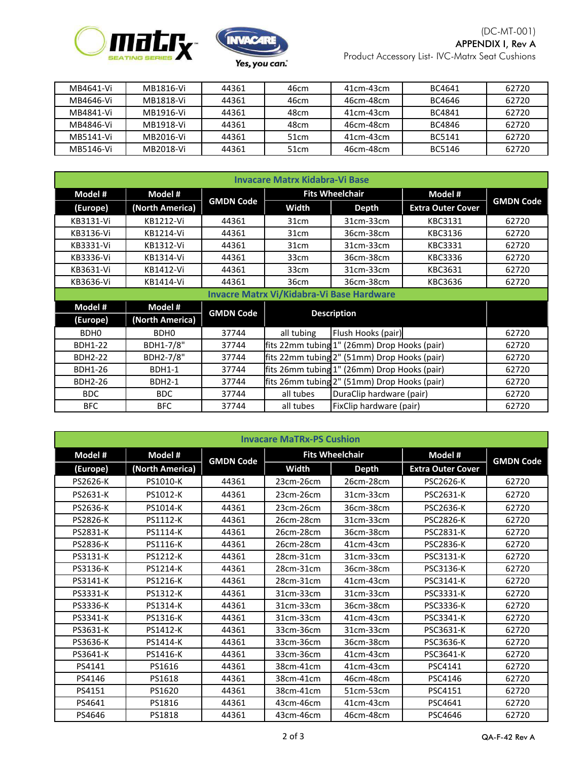



| MB4641-Vi | MB1816-Vi | 44361 | 46cm             | 41cm-43cm   | BC4641 | 62720 |
|-----------|-----------|-------|------------------|-------------|--------|-------|
| MB4646-Vi | MB1818-Vi | 44361 | 46cm             | 46cm-48cm   | BC4646 | 62720 |
| MB4841-Vi | MB1916-Vi | 44361 | 48cm             | 41cm-43cm   | BC4841 | 62720 |
| MB4846-Vi | MB1918-Vi | 44361 | 48cm             | 46cm-48cm   | BC4846 | 62720 |
| MB5141-Vi | MB2016-Vi | 44361 | 51 <sub>cm</sub> | $41cm-43cm$ | BC5141 | 62720 |
| MB5146-Vi | MB2018-Vi | 44361 | 51 <sub>cm</sub> | 46cm-48cm   | BC5146 | 62720 |

| <b>Invacare Matrx Kidabra-Vi Base</b> |                                                  |                  |                                              |                                              |                          |                  |  |
|---------------------------------------|--------------------------------------------------|------------------|----------------------------------------------|----------------------------------------------|--------------------------|------------------|--|
| Model #                               | Model #                                          |                  | <b>Fits Wheelchair</b>                       |                                              | Model #                  |                  |  |
| (Europe)                              | (North America)                                  | <b>GMDN Code</b> | <b>Width</b>                                 | <b>Depth</b>                                 | <b>Extra Outer Cover</b> | <b>GMDN Code</b> |  |
| KB3131-Vi                             | KB1212-Vi                                        | 44361            | 31 <sub>cm</sub>                             | 31cm-33cm                                    | KBC3131                  | 62720            |  |
| KB3136-Vi                             | KB1214-Vi                                        | 44361            | 31 <sub>cm</sub>                             | 36cm-38cm                                    | KBC3136                  | 62720            |  |
| KB3331-Vi                             | KB1312-Vi                                        | 44361            | 31 <sub>cm</sub>                             | 31cm-33cm                                    | KBC3331                  | 62720            |  |
| KB3336-Vi                             | KB1314-Vi                                        | 44361            | 33 <sub>cm</sub>                             | 36cm-38cm                                    | KBC3336                  | 62720            |  |
| KB3631-Vi                             | KB1412-Vi                                        | 44361            | 33 <sub>cm</sub>                             | 31cm-33cm                                    | KBC3631                  | 62720            |  |
| KB3636-Vi                             | KB1414-Vi                                        | 44361            | 36cm                                         | 36cm-38cm                                    | KBC3636                  | 62720            |  |
|                                       | <b>Invacre Matrx Vi/Kidabra-Vi Base Hardware</b> |                  |                                              |                                              |                          |                  |  |
| Model #                               | Model #                                          | <b>GMDN Code</b> | <b>Description</b>                           |                                              |                          |                  |  |
| (Europe)                              | (North America)                                  |                  |                                              |                                              |                          |                  |  |
| BDH <sub>0</sub>                      | BDH <sub>0</sub>                                 | 37744            | all tubing                                   | Flush Hooks (pair)                           |                          | 62720            |  |
| <b>BDH1-22</b>                        | BDH1-7/8"                                        | 37744            |                                              | fits 22mm tubing 1" (26mm) Drop Hooks (pair) |                          | 62720            |  |
| <b>BDH2-22</b>                        | BDH2-7/8"                                        | 37744            |                                              | fits 22mm tubing 2" (51mm) Drop Hooks (pair) |                          | 62720            |  |
| <b>BDH1-26</b>                        | <b>BDH1-1</b>                                    | 37744            |                                              | fits 26mm tubing 1" (26mm) Drop Hooks (pair) |                          | 62720            |  |
| <b>BDH2-26</b>                        | <b>BDH2-1</b>                                    | 37744            | fits 26mm tubing 2" (51mm) Drop Hooks (pair) |                                              | 62720                    |                  |  |
| <b>BDC</b>                            | <b>BDC</b>                                       | 37744            | all tubes                                    | DuraClip hardware (pair)                     |                          | 62720            |  |
| <b>BFC</b>                            | <b>BFC</b>                                       | 37744            | all tubes                                    | FixClip hardware (pair)                      |                          | 62720            |  |

| <b>Invacare MaTRx-PS Cushion</b> |                 |                  |                        |              |                          |                  |
|----------------------------------|-----------------|------------------|------------------------|--------------|--------------------------|------------------|
| Model #                          | Model #         | <b>GMDN Code</b> | <b>Fits Wheelchair</b> |              | Model #                  | <b>GMDN Code</b> |
| (Europe)                         | (North America) |                  | <b>Width</b>           | <b>Depth</b> | <b>Extra Outer Cover</b> |                  |
| PS2626-K                         | PS1010-K        | 44361            | 23cm-26cm              | 26cm-28cm    | <b>PSC2626-K</b>         | 62720            |
| PS2631-K                         | PS1012-K        | 44361            | 23cm-26cm              | 31cm-33cm    | <b>PSC2631-K</b>         | 62720            |
| PS2636-K                         | PS1014-K        | 44361            | 23cm-26cm              | 36cm-38cm    | <b>PSC2636-K</b>         | 62720            |
| PS2826-K                         | <b>PS1112-K</b> | 44361            | 26cm-28cm              | 31cm-33cm    | <b>PSC2826-K</b>         | 62720            |
| PS2831-K                         | <b>PS1114-K</b> | 44361            | 26cm-28cm              | 36cm-38cm    | <b>PSC2831-K</b>         | 62720            |
| PS2836-K                         | PS1116-K        | 44361            | 26cm-28cm              | 41cm-43cm    | <b>PSC2836-K</b>         | 62720            |
| PS3131-K                         | PS1212-K        | 44361            | 28cm-31cm              | 31cm-33cm    | <b>PSC3131-K</b>         | 62720            |
| PS3136-K                         | PS1214-K        | 44361            | 28cm-31cm              | 36cm-38cm    | PSC3136-K                | 62720            |
| PS3141-K                         | PS1216-K        | 44361            | 28cm-31cm              | 41cm-43cm    | <b>PSC3141-K</b>         | 62720            |
| PS3331-K                         | PS1312-K        | 44361            | 31cm-33cm              | 31cm-33cm    | PSC3331-K                | 62720            |
| PS3336-K                         | PS1314-K        | 44361            | 31cm-33cm              | 36cm-38cm    | <b>PSC3336-K</b>         | 62720            |
| PS3341-K                         | PS1316-K        | 44361            | 31cm-33cm              | 41cm-43cm    | <b>PSC3341-K</b>         | 62720            |
| PS3631-K                         | PS1412-K        | 44361            | 33cm-36cm              | 31cm-33cm    | PSC3631-K                | 62720            |
| PS3636-K                         | PS1414-K        | 44361            | 33cm-36cm              | 36cm-38cm    | <b>PSC3636-K</b>         | 62720            |
| PS3641-K                         | PS1416-K        | 44361            | 33cm-36cm              | 41cm-43cm    | <b>PSC3641-K</b>         | 62720            |
| PS4141                           | PS1616          | 44361            | 38cm-41cm              | 41cm-43cm    | PSC4141                  | 62720            |
| PS4146                           | PS1618          | 44361            | 38cm-41cm              | 46cm-48cm    | PSC4146                  | 62720            |
| PS4151                           | PS1620          | 44361            | 38cm-41cm              | 51cm-53cm    | PSC4151                  | 62720            |
| PS4641                           | PS1816          | 44361            | 43cm-46cm              | 41cm-43cm    | PSC4641                  | 62720            |
| PS4646                           | PS1818          | 44361            | 43cm-46cm              | 46cm-48cm    | PSC4646                  | 62720            |